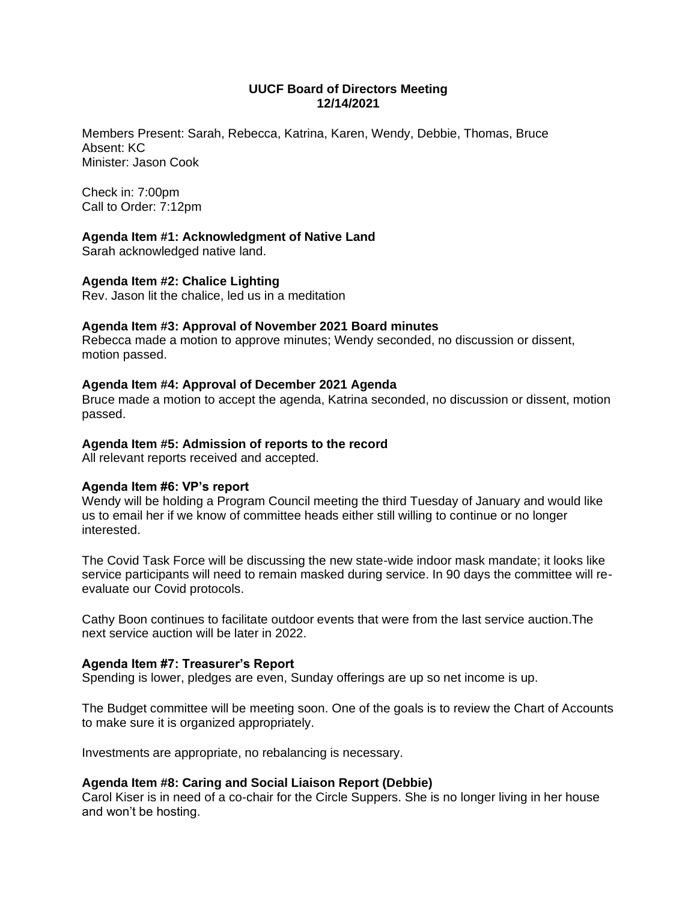### **UUCF Board of Directors Meeting 12/14/2021**

Members Present: Sarah, Rebecca, Katrina, Karen, Wendy, Debbie, Thomas, Bruce Absent: KC Minister: Jason Cook

Check in: 7:00pm Call to Order: 7:12pm

## **Agenda Item #1: Acknowledgment of Native Land**

Sarah acknowledged native land.

## **Agenda Item #2: Chalice Lighting**

Rev. Jason lit the chalice, led us in a meditation

## **Agenda Item #3: Approval of November 2021 Board minutes**

Rebecca made a motion to approve minutes; Wendy seconded, no discussion or dissent, motion passed.

## **Agenda Item #4: Approval of December 2021 Agenda**

Bruce made a motion to accept the agenda, Katrina seconded, no discussion or dissent, motion passed.

### **Agenda Item #5: Admission of reports to the record**

All relevant reports received and accepted.

### **Agenda Item #6: VP's report**

Wendy will be holding a Program Council meeting the third Tuesday of January and would like us to email her if we know of committee heads either still willing to continue or no longer interested.

The Covid Task Force will be discussing the new state-wide indoor mask mandate; it looks like service participants will need to remain masked during service. In 90 days the committee will reevaluate our Covid protocols.

Cathy Boon continues to facilitate outdoor events that were from the last service auction.The next service auction will be later in 2022.

### **Agenda Item #7: Treasurer's Report**

Spending is lower, pledges are even, Sunday offerings are up so net income is up.

The Budget committee will be meeting soon. One of the goals is to review the Chart of Accounts to make sure it is organized appropriately.

Investments are appropriate, no rebalancing is necessary.

### **Agenda Item #8: Caring and Social Liaison Report (Debbie)**

Carol Kiser is in need of a co-chair for the Circle Suppers. She is no longer living in her house and won't be hosting.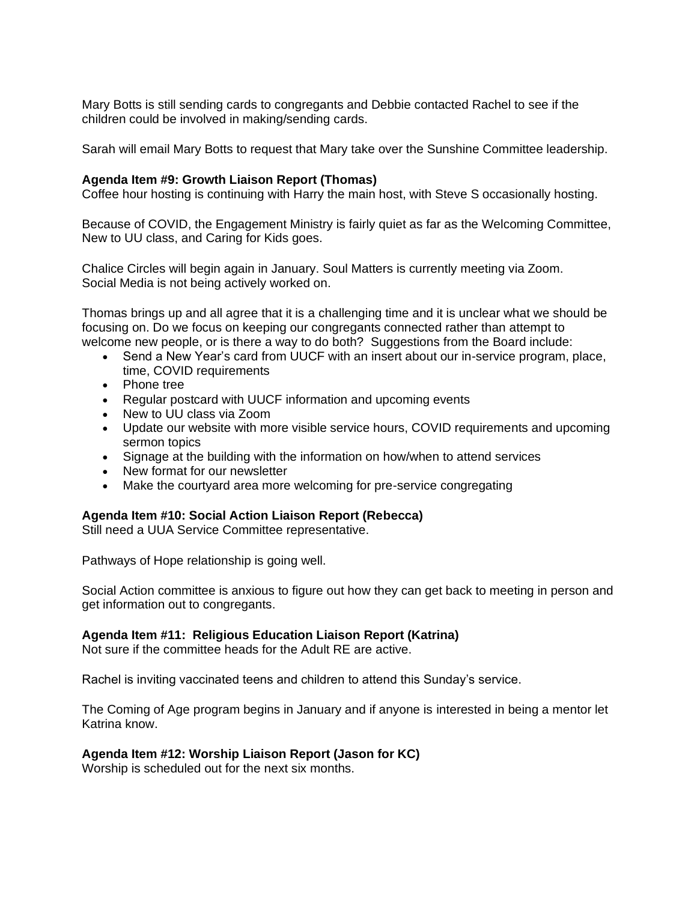Mary Botts is still sending cards to congregants and Debbie contacted Rachel to see if the children could be involved in making/sending cards.

Sarah will email Mary Botts to request that Mary take over the Sunshine Committee leadership.

## **Agenda Item #9: Growth Liaison Report (Thomas)**

Coffee hour hosting is continuing with Harry the main host, with Steve S occasionally hosting.

Because of COVID, the Engagement Ministry is fairly quiet as far as the Welcoming Committee, New to UU class, and Caring for Kids goes.

Chalice Circles will begin again in January. Soul Matters is currently meeting via Zoom. Social Media is not being actively worked on.

Thomas brings up and all agree that it is a challenging time and it is unclear what we should be focusing on. Do we focus on keeping our congregants connected rather than attempt to welcome new people, or is there a way to do both? Suggestions from the Board include:

- Send a New Year's card from UUCF with an insert about our in-service program, place, time, COVID requirements
- Phone tree
- Regular postcard with UUCF information and upcoming events
- New to UU class via Zoom
- Update our website with more visible service hours, COVID requirements and upcoming sermon topics
- Signage at the building with the information on how/when to attend services
- New format for our newsletter
- Make the courtyard area more welcoming for pre-service congregating

### **Agenda Item #10: Social Action Liaison Report (Rebecca)**

Still need a UUA Service Committee representative.

Pathways of Hope relationship is going well.

Social Action committee is anxious to figure out how they can get back to meeting in person and get information out to congregants.

### **Agenda Item #11: Religious Education Liaison Report (Katrina)**

Not sure if the committee heads for the Adult RE are active.

Rachel is inviting vaccinated teens and children to attend this Sunday's service.

The Coming of Age program begins in January and if anyone is interested in being a mentor let Katrina know.

# **Agenda Item #12: Worship Liaison Report (Jason for KC)**

Worship is scheduled out for the next six months.